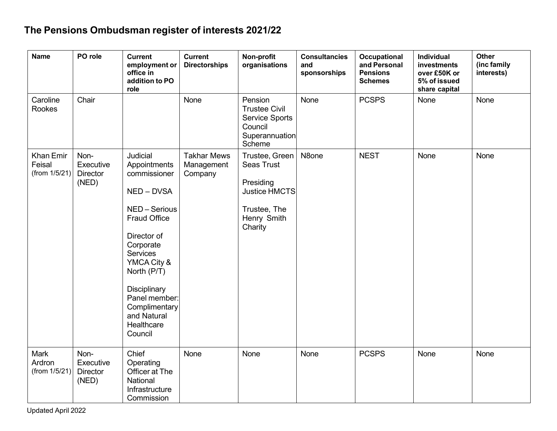## **The Pensions Ombudsman register of interests 2021/22**

| <b>Name</b>                                    | PO role                                       | <b>Current</b><br>employment or<br>office in<br>addition to PO<br>role                                                                                                                                                                                            | <b>Current</b><br><b>Directorships</b>      | Non-profit<br>organisations                                                                                        | <b>Consultancies</b><br>and<br>sponsorships | <b>Occupational</b><br>and Personal<br><b>Pensions</b><br><b>Schemes</b> | Individual<br>investments<br>over £50K or<br>5% of issued<br>share capital | Other<br>(inc family<br>interests) |
|------------------------------------------------|-----------------------------------------------|-------------------------------------------------------------------------------------------------------------------------------------------------------------------------------------------------------------------------------------------------------------------|---------------------------------------------|--------------------------------------------------------------------------------------------------------------------|---------------------------------------------|--------------------------------------------------------------------------|----------------------------------------------------------------------------|------------------------------------|
| Caroline<br>Rookes                             | Chair                                         |                                                                                                                                                                                                                                                                   | None                                        | Pension<br><b>Trustee Civil</b><br><b>Service Sports</b><br>Council<br>Superannuation<br>Scheme                    | None                                        | <b>PCSPS</b>                                                             | None                                                                       | None                               |
| <b>Khan Emir</b><br>Feisal<br>(from $1/5/21$ ) | Non-<br>Executive<br><b>Director</b><br>(NED) | Judicial<br>Appointments<br>commissioner<br>NED-DVSA<br>NED-Serious<br><b>Fraud Office</b><br>Director of<br>Corporate<br><b>Services</b><br>YMCA City &<br>North (P/T)<br>Disciplinary<br>Panel member:<br>Complimentary<br>and Natural<br>Healthcare<br>Council | <b>Takhar Mews</b><br>Management<br>Company | Trustee, Green<br><b>Seas Trust</b><br>Presiding<br><b>Justice HMCTS</b><br>Trustee, The<br>Henry Smith<br>Charity | N8one                                       | <b>NEST</b>                                                              | None                                                                       | None                               |
| Mark<br>Ardron<br>(from 1/5/21)                | Non-<br>Executive<br><b>Director</b><br>(NED) | Chief<br>Operating<br>Officer at The<br>National<br>Infrastructure<br>Commission                                                                                                                                                                                  | None                                        | None                                                                                                               | None                                        | <b>PCSPS</b>                                                             | None                                                                       | None                               |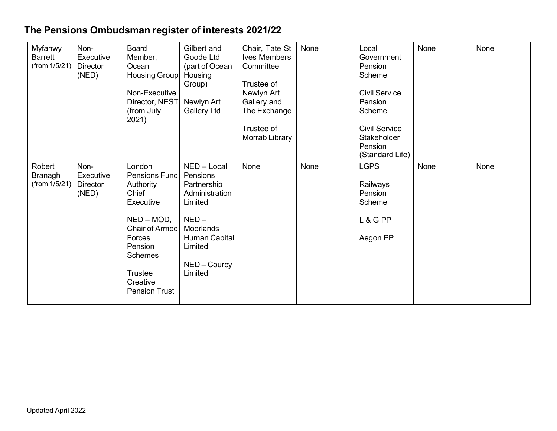## **The Pensions Ombudsman register of interests 2021/22**

| <b>Myfanwy</b><br><b>Barrett</b><br>(from $1/5/21$ ) | Non-<br>Executive<br><b>Director</b><br>(NED) | <b>Board</b><br>Member,<br>Ocean<br>Housing Group<br>Non-Executive<br>Director, NEST<br>(from July<br>2021)                                                                                      | Gilbert and<br>Goode Ltd<br>(part of Ocean<br>Housing<br>Group)<br>Newlyn Art<br><b>Gallery Ltd</b>                                              | Chair, Tate St<br>Ives Members<br>Committee<br>Trustee of<br>Newlyn Art<br>Gallery and<br>The Exchange<br>Trustee of<br>Morrab Library | None        | Local<br>Government<br>Pension<br>Scheme<br><b>Civil Service</b><br>Pension<br>Scheme<br><b>Civil Service</b><br>Stakeholder<br>Pension<br>(Standard Life) | None | None |
|------------------------------------------------------|-----------------------------------------------|--------------------------------------------------------------------------------------------------------------------------------------------------------------------------------------------------|--------------------------------------------------------------------------------------------------------------------------------------------------|----------------------------------------------------------------------------------------------------------------------------------------|-------------|------------------------------------------------------------------------------------------------------------------------------------------------------------|------|------|
| Robert<br>Branagh<br>(from 1/5/21)                   | Non-<br>Executive<br><b>Director</b><br>(NED) | London<br>Pensions Fund<br>Authority<br>Chief<br>Executive<br>$NED - MOD,$<br>Chair of Armed<br>Forces<br><b>Pension</b><br><b>Schemes</b><br><b>Trustee</b><br>Creative<br><b>Pension Trust</b> | NED - Local<br>Pensions<br>Partnership<br>Administration<br>Limited<br>$NED -$<br>Moorlands<br>Human Capital<br>Limited<br>NED-Courcy<br>Limited | None                                                                                                                                   | <b>None</b> | <b>LGPS</b><br>Railways<br>Pension<br>Scheme<br>L & G PP<br>Aegon PP                                                                                       | None | None |